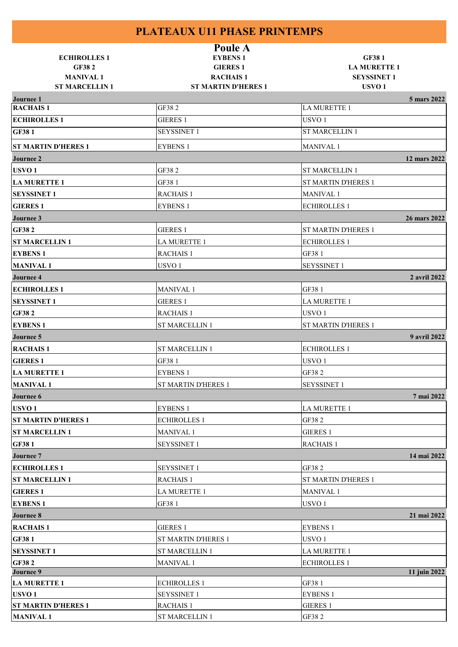|                                  | Poule A                                      |                                          |
|----------------------------------|----------------------------------------------|------------------------------------------|
| <b>ECHIROLLES1</b>               | <b>EYBENS 1</b>                              | <b>GF381</b>                             |
| <b>GF382</b>                     | <b>GIERES 1</b>                              | <b>LA MURETTE 1</b>                      |
| <b>MANIVAL1</b>                  | <b>RACHAIS1</b>                              | <b>SEYSSINET 1</b>                       |
| <b>ST MARCELLIN1</b>             | <b>ST MARTIN D'HERES 1</b>                   | USVO <sub>1</sub>                        |
| Journee 1<br><b>RACHAIS1</b>     | GF382                                        | 5 mars 2022<br>LA MURETTE 1              |
| <b>ECHIROLLES 1</b>              | <b>GIERES 1</b>                              | USVO <sub>1</sub>                        |
| <b>GF381</b>                     | <b>SEYSSINET 1</b>                           | <b>ST MARCELLIN 1</b>                    |
|                                  |                                              |                                          |
| <b>ST MARTIN D'HERES 1</b>       | <b>EYBENS 1</b>                              | MANIVAL <sub>1</sub>                     |
| Journee 2                        |                                              | 12 mars 2022                             |
| USVO <sub>1</sub>                | GF382                                        | <b>ST MARCELLIN 1</b>                    |
| <b>LA MURETTE 1</b>              | GF381                                        | <b>ST MARTIN D'HERES 1</b>               |
| <b>SEYSSINET 1</b>               | <b>RACHAIS 1</b>                             | <b>MANIVAL1</b>                          |
| <b>GIERES 1</b>                  | <b>EYBENS 1</b>                              | <b>ECHIROLLES 1</b>                      |
| Journee 3                        |                                              | 26 mars 2022                             |
| <b>GF382</b>                     | <b>GIERES 1</b>                              | ST MARTIN D'HERES 1                      |
| <b>ST MARCELLIN1</b>             | LA MURETTE 1                                 | <b>ECHIROLLES 1</b>                      |
| <b>EYBENS 1</b>                  | <b>RACHAIS 1</b>                             | GF38 1                                   |
| <b>MANIVAL1</b>                  | USVO <sub>1</sub>                            | <b>SEYSSINET 1</b>                       |
| Journee 4                        |                                              | 2 avril 2022                             |
| <b>ECHIROLLES1</b>               | <b>MANIVAL1</b>                              | GF38 1                                   |
| <b>SEYSSINET 1</b>               | <b>GIERES 1</b>                              | LA MURETTE 1                             |
| <b>GF382</b>                     | <b>RACHAIS 1</b>                             | USVO <sub>1</sub>                        |
| <b>EYBENS 1</b>                  | ST MARCELLIN 1                               | <b>ST MARTIN D'HERES 1</b>               |
| Journee 5                        |                                              | 9 avril 2022                             |
| <b>RACHAIS1</b>                  | <b>ST MARCELLIN 1</b>                        | <b>ECHIROLLES 1</b>                      |
| <b>GIERES 1</b>                  | GF381                                        | USVO <sub>1</sub>                        |
| <b>LA MURETTE 1</b>              | <b>EYBENS 1</b>                              | GF382                                    |
| <b>MANIVAL1</b>                  | <b>ST MARTIN D'HERES 1</b>                   | <b>SEYSSINET 1</b>                       |
| Journee 6                        |                                              | 7 mai 2022                               |
| USVO <sub>1</sub>                | <b>EYBENS 1</b>                              | <b>LA MURETTE 1</b>                      |
| <b>ST MARTIN D'HERES 1</b>       | <b>ECHIROLLES 1</b>                          | GF38 2                                   |
| <b>ST MARCELLIN1</b>             | <b>MANIVAL1</b>                              | <b>GIERES 1</b>                          |
| <b>GF381</b>                     | <b>SEYSSINET 1</b>                           | <b>RACHAIS 1</b>                         |
| Journee 7                        |                                              | 14 mai 2022                              |
| <b>ECHIROLLES1</b>               | <b>SEYSSINET 1</b>                           | GF382                                    |
| <b>ST MARCELLIN1</b>             | <b>RACHAIS 1</b>                             | <b>ST MARTIN D'HERES 1</b>               |
| <b>GIERES1</b>                   | LA MURETTE 1                                 | <b>MANIVAL 1</b>                         |
| <b>EYBENS 1</b>                  | GF38 1                                       | USVO <sub>1</sub>                        |
| Journee 8                        |                                              | 21 mai 2022                              |
| <b>RACHAIS1</b>                  | <b>GIERES 1</b>                              | <b>EYBENS 1</b>                          |
|                                  |                                              |                                          |
| <b>GF381</b>                     | ST MARTIN D'HERES 1<br><b>ST MARCELLIN 1</b> | USVO <sub>1</sub><br><b>LA MURETTE 1</b> |
| <b>SEYSSINET 1</b>               |                                              |                                          |
| <b>GF382</b><br><b>Journee 9</b> | <b>MANIVAL1</b>                              | <b>ECHIROLLES 1</b><br>11 juin 2022      |
| <b>LA MURETTE 1</b>              | <b>ECHIROLLES 1</b>                          | GF38 1                                   |
| USVO <sub>1</sub>                | <b>SEYSSINET 1</b>                           | <b>EYBENS 1</b>                          |
| <b>ST MARTIN D'HERES 1</b>       | <b>RACHAIS 1</b>                             | <b>GIERES 1</b>                          |
| <b>MANIVAL1</b>                  | <b>ST MARCELLIN 1</b>                        | GF382                                    |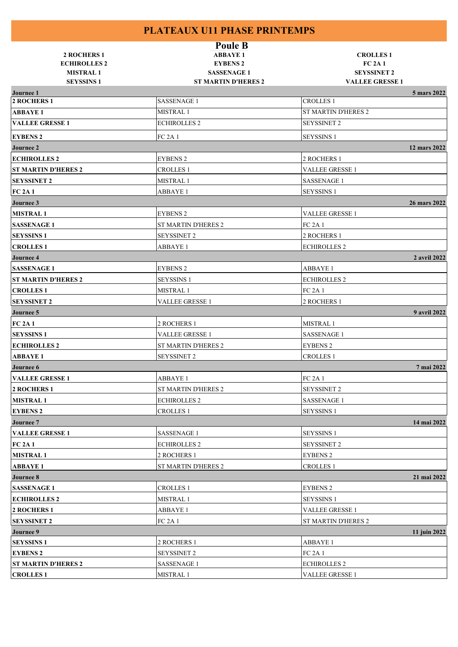| <b>2 ROCHERS 1</b><br><b>ECHIROLLES 2</b><br><b>MISTRAL1</b><br><b>SEYSSINS 1</b> | <b>Poule B</b><br><b>ABBAYE 1</b><br><b>EYBENS 2</b><br><b>SASSENAGE 1</b><br><b>ST MARTIN D'HERES 2</b> | <b>CROLLES1</b><br><b>FC 2A 1</b><br><b>SEYSSINET 2</b><br><b>VALLEE GRESSE 1</b> |              |
|-----------------------------------------------------------------------------------|----------------------------------------------------------------------------------------------------------|-----------------------------------------------------------------------------------|--------------|
| <b>Journee 1</b>                                                                  |                                                                                                          |                                                                                   | 5 mars 2022  |
| 2 ROCHERS 1                                                                       | <b>SASSENAGE 1</b>                                                                                       | <b>CROLLES 1</b>                                                                  |              |
| <b>ABBAYE 1</b>                                                                   | MISTRAL 1                                                                                                | <b>ST MARTIN D'HERES 2</b>                                                        |              |
| <b>VALLEE GRESSE 1</b>                                                            | <b>ECHIROLLES 2</b>                                                                                      | <b>SEYSSINET 2</b>                                                                |              |
| <b>EYBENS 2</b>                                                                   | <b>FC 2A 1</b>                                                                                           | <b>SEYSSINS 1</b>                                                                 |              |
| Journee 2                                                                         |                                                                                                          |                                                                                   | 12 mars 2022 |
| <b>ECHIROLLES 2</b>                                                               | <b>EYBENS 2</b>                                                                                          | 2 ROCHERS 1                                                                       |              |
| <b>ST MARTIN D'HERES 2</b>                                                        | <b>CROLLES 1</b>                                                                                         | <b>VALLEE GRESSE 1</b>                                                            |              |
| <b>SEYSSINET 2</b>                                                                | <b>MISTRAL1</b>                                                                                          | <b>SASSENAGE 1</b>                                                                |              |
| <b>FC 2A 1</b>                                                                    | <b>ABBAYE 1</b>                                                                                          | <b>SEYSSINS 1</b>                                                                 |              |
| Journee 3                                                                         |                                                                                                          |                                                                                   | 26 mars 2022 |
| <b>MISTRAL1</b>                                                                   | <b>EYBENS 2</b>                                                                                          | <b>VALLEE GRESSE 1</b>                                                            |              |
| <b>SASSENAGE 1</b>                                                                | <b>ST MARTIN D'HERES 2</b>                                                                               | <b>FC 2A 1</b>                                                                    |              |
| <b>SEYSSINS 1</b>                                                                 | SEYSSINET 2                                                                                              | 2 ROCHERS 1                                                                       |              |
| <b>CROLLES1</b>                                                                   | <b>ABBAYE 1</b>                                                                                          | <b>ECHIROLLES 2</b>                                                               |              |
| <b>Journee 4</b>                                                                  |                                                                                                          |                                                                                   | 2 avril 2022 |
| <b>SASSENAGE 1</b>                                                                | <b>EYBENS 2</b>                                                                                          | <b>ABBAYE 1</b>                                                                   |              |
| <b>ST MARTIN D'HERES 2</b>                                                        | <b>SEYSSINS 1</b>                                                                                        | <b>ECHIROLLES 2</b>                                                               |              |
| <b>CROLLES1</b>                                                                   | MISTRAL 1                                                                                                | <b>FC 2A 1</b>                                                                    |              |
| <b>SEYSSINET 2</b>                                                                | VALLEE GRESSE 1                                                                                          | 2 ROCHERS 1                                                                       |              |
| Journee 5                                                                         |                                                                                                          |                                                                                   | 9 avril 2022 |
| <b>FC 2A 1</b>                                                                    | 2 ROCHERS 1                                                                                              | MISTRAL 1                                                                         |              |
| <b>SEYSSINS 1</b>                                                                 | VALLEE GRESSE 1                                                                                          | <b>SASSENAGE 1</b>                                                                |              |
| <b>ECHIROLLES 2</b>                                                               | ST MARTIN D'HERES 2                                                                                      | <b>EYBENS 2</b>                                                                   |              |
| <b>ABBAYE 1</b>                                                                   | <b>SEYSSINET 2</b>                                                                                       | <b>CROLLES 1</b>                                                                  |              |
| Journee 6                                                                         |                                                                                                          |                                                                                   | 7 mai 2022   |
| <b>VALLEE GRESSE 1</b>                                                            | <b>ABBAYE1</b>                                                                                           | <b>FC 2A 1</b>                                                                    |              |
| 2 ROCHERS 1                                                                       | ST MARTIN D'HERES 2                                                                                      | <b>SEYSSINET 2</b>                                                                |              |
| <b>MISTRAL1</b>                                                                   | <b>ECHIROLLES 2</b>                                                                                      | <b>SASSENAGE 1</b>                                                                |              |
| <b>EYBENS 2</b>                                                                   | <b>CROLLES 1</b>                                                                                         | <b>SEYSSINS 1</b>                                                                 |              |
| Journee 7                                                                         |                                                                                                          |                                                                                   | 14 mai 2022  |
| <b>VALLEE GRESSE 1</b>                                                            | <b>SASSENAGE 1</b>                                                                                       | <b>SEYSSINS 1</b>                                                                 |              |
| <b>FC 2A 1</b>                                                                    | <b>ECHIROLLES 2</b>                                                                                      | <b>SEYSSINET 2</b>                                                                |              |
| <b>MISTRAL1</b>                                                                   | 2 ROCHERS 1                                                                                              | <b>EYBENS 2</b>                                                                   |              |
| <b>ABBAYE1</b>                                                                    | ST MARTIN D'HERES 2                                                                                      | <b>CROLLES 1</b>                                                                  |              |
|                                                                                   |                                                                                                          |                                                                                   |              |
| Journee 8                                                                         |                                                                                                          |                                                                                   | 21 mai 2022  |
| <b>SASSENAGE 1</b>                                                                | <b>CROLLES 1</b>                                                                                         | <b>EYBENS 2</b>                                                                   |              |
| <b>ECHIROLLES 2</b>                                                               | MISTRAL 1                                                                                                | <b>SEYSSINS 1</b>                                                                 |              |
| 2 ROCHERS 1                                                                       | <b>ABBAYE1</b>                                                                                           | VALLEE GRESSE 1                                                                   |              |
| <b>SEYSSINET 2</b>                                                                | <b>FC 2A 1</b>                                                                                           | ST MARTIN D'HERES 2                                                               |              |
| Journee 9                                                                         |                                                                                                          |                                                                                   | 11 juin 2022 |
| <b>SEYSSINS 1</b>                                                                 | 2 ROCHERS 1                                                                                              | <b>ABBAYE1</b>                                                                    |              |
| <b>EYBENS 2</b>                                                                   | <b>SEYSSINET 2</b>                                                                                       | <b>FC 2A 1</b><br><b>ECHIROLLES 2</b>                                             |              |
| <b>ST MARTIN D'HERES 2</b>                                                        | <b>SASSENAGE 1</b><br>MISTRAL <sub>1</sub>                                                               | VALLEE GRESSE 1                                                                   |              |
| <b>CROLLES1</b>                                                                   |                                                                                                          |                                                                                   |              |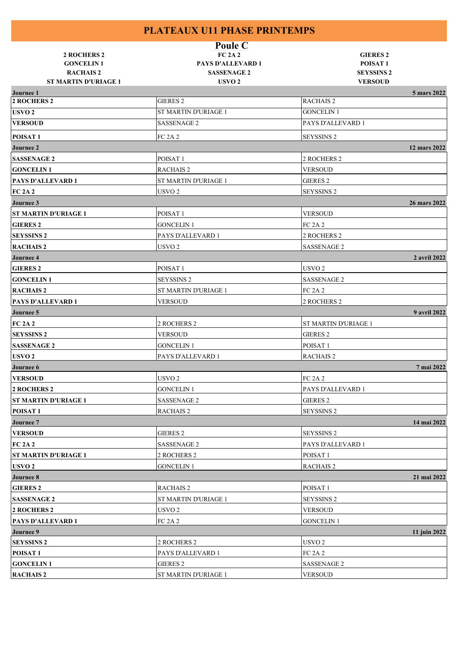| 2 ROCHERS 2<br><b>GONCELIN 1</b><br><b>RACHAIS 2</b><br><b>ST MARTIN D'URIAGE 1</b> | Poule C<br><b>FC 2A 2</b><br><b>PAYS D'ALLEVARD 1</b><br><b>SASSENAGE 2</b><br>USVO <sub>2</sub> | <b>GIERES 2</b><br>POISAT <sub>1</sub><br><b>SEYSSINS 2</b><br><b>VERSOUD</b> |  |
|-------------------------------------------------------------------------------------|--------------------------------------------------------------------------------------------------|-------------------------------------------------------------------------------|--|
| <b>Journee 1</b>                                                                    |                                                                                                  | 5 mars 2022                                                                   |  |
| <b>2 ROCHERS 2</b>                                                                  | <b>GIERES 2</b>                                                                                  | <b>RACHAIS 2</b>                                                              |  |
| USVO <sub>2</sub>                                                                   | ST MARTIN D'URIAGE 1                                                                             | <b>GONCELIN 1</b>                                                             |  |
| <b>VERSOUD</b>                                                                      | <b>SASSENAGE 2</b>                                                                               | PAYS D'ALLEVARD 1                                                             |  |
| POISAT <sub>1</sub>                                                                 | FC 2A 2                                                                                          | SEYSSINS 2                                                                    |  |
| <b>Journee 2</b>                                                                    |                                                                                                  | 12 mars 2022                                                                  |  |
| <b>SASSENAGE 2</b>                                                                  | POISAT <sub>1</sub>                                                                              | 2 ROCHERS 2                                                                   |  |
| <b>GONCELIN1</b>                                                                    | <b>RACHAIS 2</b>                                                                                 | <b>VERSOUD</b>                                                                |  |
| PAYS D'ALLEVARD 1                                                                   | ST MARTIN D'URIAGE 1                                                                             | <b>GIERES 2</b>                                                               |  |
| <b>FC 2A 2</b>                                                                      | USVO <sub>2</sub>                                                                                | SEYSSINS <sub>2</sub>                                                         |  |
| <b>Journee 3</b>                                                                    |                                                                                                  | 26 mars 2022                                                                  |  |
| <b>ST MARTIN D'URIAGE 1</b>                                                         | POISAT <sub>1</sub>                                                                              | <b>VERSOUD</b>                                                                |  |
| <b>GIERES 2</b>                                                                     | <b>GONCELIN 1</b>                                                                                | <b>FC 2A 2</b>                                                                |  |
| <b>SEYSSINS 2</b>                                                                   | PAYS D'ALLEVARD 1                                                                                | 2 ROCHERS 2                                                                   |  |
| <b>RACHAIS2</b>                                                                     | USVO <sub>2</sub>                                                                                | <b>SASSENAGE 2</b>                                                            |  |
| Journee 4                                                                           |                                                                                                  | 2 avril 2022                                                                  |  |
| <b>GIERES 2</b>                                                                     | POISAT <sub>1</sub>                                                                              | USVO <sub>2</sub>                                                             |  |
| <b>GONCELIN1</b>                                                                    | <b>SEYSSINS 2</b>                                                                                | <b>SASSENAGE 2</b>                                                            |  |
| <b>RACHAIS 2</b>                                                                    | ST MARTIN D'URIAGE 1                                                                             | <b>FC 2A 2</b>                                                                |  |
| <b>PAYS D'ALLEVARD 1</b>                                                            | <b>VERSOUD</b>                                                                                   | 2 ROCHERS 2                                                                   |  |
| Journee 5                                                                           |                                                                                                  | 9 avril 2022                                                                  |  |
| <b>FC 2A 2</b>                                                                      | 2 ROCHERS 2                                                                                      | ST MARTIN D'URIAGE 1                                                          |  |
| <b>SEYSSINS 2</b>                                                                   | <b>VERSOUD</b>                                                                                   | GIERES <sub>2</sub>                                                           |  |
| <b>SASSENAGE 2</b>                                                                  | <b>GONCELIN 1</b>                                                                                | POISAT <sub>1</sub>                                                           |  |
| USVO <sub>2</sub>                                                                   | PAYS D'ALLEVARD 1                                                                                | <b>RACHAIS2</b>                                                               |  |
| <b>Journee 6</b>                                                                    |                                                                                                  | 7 mai 2022                                                                    |  |
| <b>VERSOUD</b>                                                                      | USVO <sub>2</sub>                                                                                | <b>FC 2A 2</b>                                                                |  |
| <b>2 ROCHERS 2</b>                                                                  | <b>GONCELIN 1</b>                                                                                | PAYS D'ALLEVARD 1                                                             |  |
|                                                                                     |                                                                                                  |                                                                               |  |
| <b>ST MARTIN D'URIAGE 1</b>                                                         | SASSENAGE 2                                                                                      | GIERES 2                                                                      |  |
| POISAT <sub>1</sub>                                                                 | <b>RACHAIS 2</b>                                                                                 | <b>SEYSSINS 2</b>                                                             |  |
| Journee 7                                                                           |                                                                                                  | 14 mai 2022                                                                   |  |
| <b>VERSOUD</b>                                                                      | <b>GIERES 2</b>                                                                                  | <b>SEYSSINS 2</b>                                                             |  |
| <b>FC 2A 2</b>                                                                      | SASSENAGE 2                                                                                      | PAYS D'ALLEVARD 1                                                             |  |
| ST MARTIN D'URIAGE 1                                                                | 2 ROCHERS 2                                                                                      | POISAT <sub>1</sub>                                                           |  |
| USVO <sub>2</sub>                                                                   | <b>GONCELIN 1</b>                                                                                | <b>RACHAIS 2</b>                                                              |  |
| <b>Journee 8</b>                                                                    |                                                                                                  | 21 mai 2022                                                                   |  |
| <b>GIERES 2</b>                                                                     | <b>RACHAIS 2</b>                                                                                 | POISAT <sub>1</sub>                                                           |  |
| <b>SASSENAGE 2</b>                                                                  | ST MARTIN D'URIAGE 1                                                                             | <b>SEYSSINS 2</b>                                                             |  |
| 2 ROCHERS 2                                                                         | USVO <sub>2</sub>                                                                                | <b>VERSOUD</b>                                                                |  |
| PAYS D'ALLEVARD 1                                                                   | <b>FC 2A 2</b>                                                                                   | <b>GONCELIN 1</b>                                                             |  |
| Journee 9                                                                           |                                                                                                  | 11 juin 2022                                                                  |  |
| <b>SEYSSINS 2</b>                                                                   | 2 ROCHERS 2                                                                                      | USVO <sub>2</sub>                                                             |  |
| POISAT <sub>1</sub>                                                                 | PAYS D'ALLEVARD 1                                                                                | <b>FC 2A 2</b>                                                                |  |
| <b>GONCELIN1</b>                                                                    | <b>GIERES 2</b>                                                                                  | SASSENAGE 2                                                                   |  |
| <b>RACHAIS2</b>                                                                     | ST MARTIN D'URIAGE 1                                                                             | <b>VERSOUD</b>                                                                |  |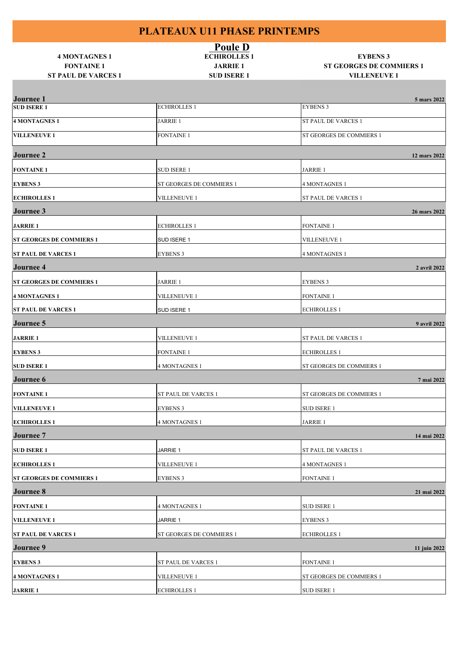| <b>4 MONTAGNES 1</b><br><b>FONTAINE 1</b><br><b>ST PAUL DE VARCES 1</b> | <b>Poule D</b><br><b>ECHIROLLES1</b><br><b>JARRIE 1</b><br><b>SUD ISERE 1</b> | <b>EYBENS 3</b><br><b>ST GEORGES DE COMMIERS 1</b><br><b>VILLENEUVE 1</b> |
|-------------------------------------------------------------------------|-------------------------------------------------------------------------------|---------------------------------------------------------------------------|
|                                                                         |                                                                               |                                                                           |
| <b>Journee</b> 1<br><b>SUD ISERE 1</b>                                  | <b>ECHIROLLES 1</b>                                                           | 5 mars 2022<br><b>EYBENS 3</b>                                            |
| <b>4 MONTAGNES 1</b>                                                    | <b>JARRIE 1</b>                                                               | ST PAUL DE VARCES 1                                                       |
| <b>VILLENEUVE 1</b>                                                     | <b>FONTAINE 1</b>                                                             | ST GEORGES DE COMMIERS 1                                                  |
|                                                                         |                                                                               |                                                                           |
| <b>Journee 2</b>                                                        |                                                                               | 12 mars 2022                                                              |
| <b>FONTAINE 1</b>                                                       | <b>SUD ISERE 1</b>                                                            | <b>JARRIE 1</b>                                                           |
| <b>EYBENS 3</b>                                                         | ST GEORGES DE COMMIERS 1                                                      | <b>4 MONTAGNES 1</b>                                                      |
| <b>ECHIROLLES1</b>                                                      | <b>VILLENEUVE 1</b>                                                           | ST PAUL DE VARCES 1                                                       |
| <b>Journee 3</b>                                                        |                                                                               | 26 mars 2022                                                              |
| <b>JARRIE 1</b>                                                         | <b>ECHIROLLES 1</b>                                                           | <b>FONTAINE 1</b>                                                         |
| <b>ST GEORGES DE COMMIERS 1</b>                                         | SUD ISERE 1                                                                   | <b>VILLENEUVE 1</b>                                                       |
| <b>ST PAUL DE VARCES 1</b>                                              | <b>EYBENS 3</b>                                                               | <b>4 MONTAGNES 1</b>                                                      |
| <b>Journee 4</b>                                                        |                                                                               | 2 avril 2022                                                              |
| <b>ST GEORGES DE COMMIERS 1</b>                                         | <b>JARRIE 1</b>                                                               | <b>EYBENS 3</b>                                                           |
| 4 MONTAGNES 1                                                           | <b>VILLENEUVE 1</b>                                                           | <b>FONTAINE 1</b>                                                         |
| <b>ST PAUL DE VARCES 1</b>                                              | SUD ISERE 1                                                                   | <b>ECHIROLLES 1</b>                                                       |
| <b>Journee 5</b>                                                        |                                                                               | 9 avril 2022                                                              |
| <b>JARRIE 1</b>                                                         | <b>VILLENEUVE 1</b>                                                           | ST PAUL DE VARCES 1                                                       |
| <b>EYBENS 3</b>                                                         | <b>FONTAINE 1</b>                                                             | <b>ECHIROLLES 1</b>                                                       |
| <b>SUD ISERE 1</b>                                                      | <b>4 MONTAGNES 1</b>                                                          | ST GEORGES DE COMMIERS 1                                                  |
| <b>Journee 6</b>                                                        |                                                                               | 7 mai 2022                                                                |
| <b>FONTAINE 1</b>                                                       | ST PAUL DE VARCES 1                                                           | ST GEORGES DE COMMIERS 1                                                  |
| <b>VILLENEUVE 1</b>                                                     | <b>EYBENS 3</b>                                                               | <b>SUD ISERE 1</b>                                                        |
| <b>ECHIROLLES1</b>                                                      | <b>4 MONTAGNES 1</b>                                                          | <b>JARRIE 1</b>                                                           |
| <b>Journee 7</b>                                                        |                                                                               | 14 mai 2022                                                               |
| <b>SUD ISERE 1</b>                                                      | JARRIE 1                                                                      | ST PAUL DE VARCES 1                                                       |
| <b>ECHIROLLES1</b>                                                      | VILLENEUVE 1                                                                  | 4 MONTAGNES 1                                                             |
| <b>ST GEORGES DE COMMIERS 1</b>                                         | <b>EYBENS 3</b>                                                               | <b>FONTAINE 1</b>                                                         |
| <b>Journee 8</b>                                                        |                                                                               | 21 mai 2022                                                               |
| <b>FONTAINE 1</b>                                                       | <b>4 MONTAGNES 1</b>                                                          | <b>SUD ISERE 1</b>                                                        |
| <b>VILLENEUVE 1</b>                                                     | JARRIE 1                                                                      | <b>EYBENS 3</b>                                                           |
| <b>ST PAUL DE VARCES 1</b>                                              | ST GEORGES DE COMMIERS 1                                                      | <b>ECHIROLLES 1</b>                                                       |
| <b>Journee 9</b>                                                        |                                                                               | 11 juin 2022                                                              |
| <b>EYBENS 3</b>                                                         | ST PAUL DE VARCES 1                                                           | <b>FONTAINE 1</b>                                                         |
| 4 MONTAGNES 1                                                           | <b>VILLENEUVE 1</b>                                                           | ST GEORGES DE COMMIERS 1                                                  |
| <b>JARRIE 1</b>                                                         | <b>ECHIROLLES 1</b>                                                           | <b>SUD ISERE 1</b>                                                        |
|                                                                         |                                                                               |                                                                           |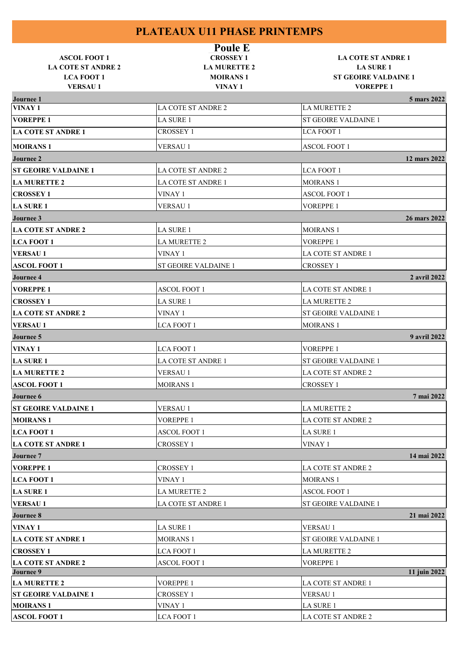| <b>ASCOL FOOT 1</b>                            | <b>Poule E</b><br><b>CROSSEY 1</b>     | <b>LA COTE ST ANDRE 1</b>                       |  |
|------------------------------------------------|----------------------------------------|-------------------------------------------------|--|
| <b>LA COTE ST ANDRE 2</b><br><b>LCA FOOT 1</b> | <b>LA MURETTE 2</b><br><b>MOIRANS1</b> | <b>LA SURE 1</b><br><b>ST GEOIRE VALDAINE 1</b> |  |
| <b>VERSAU1</b>                                 | VINAY 1                                | <b>VOREPPE 1</b>                                |  |
| <b>Journee 1</b>                               |                                        | 5 mars 2022                                     |  |
| VINAY 1                                        | <b>LA COTE ST ANDRE 2</b>              | <b>LA MURETTE 2</b>                             |  |
| <b>VOREPPE 1</b>                               | LA SURE 1                              | ST GEOIRE VALDAINE 1                            |  |
| <b>LA COTE ST ANDRE 1</b>                      | <b>CROSSEY 1</b>                       | <b>LCA FOOT 1</b>                               |  |
| <b>MOIRANS1</b>                                | <b>VERSAU1</b>                         | <b>ASCOL FOOT 1</b>                             |  |
| <b>Journee 2</b>                               |                                        | 12 mars 2022                                    |  |
| <b>ST GEOIRE VALDAINE 1</b>                    | LA COTE ST ANDRE 2                     | <b>LCA FOOT 1</b>                               |  |
| <b>LA MURETTE 2</b>                            | LA COTE ST ANDRE 1                     | <b>MOIRANS 1</b>                                |  |
| <b>CROSSEY 1</b>                               | VINAY 1                                | ASCOL FOOT 1                                    |  |
| <b>LA SURE 1</b>                               | <b>VERSAU1</b>                         | <b>VOREPPE 1</b>                                |  |
| Journee 3                                      |                                        | 26 mars 2022                                    |  |
| <b>LA COTE ST ANDRE 2</b>                      | LA SURE 1                              | <b>MOIRANS 1</b>                                |  |
| <b>LCA FOOT 1</b>                              | <b>LA MURETTE 2</b>                    | <b>VOREPPE 1</b>                                |  |
| <b>VERSAU1</b>                                 | VINAY 1                                | <b>LA COTE ST ANDRE 1</b>                       |  |
| <b>ASCOL FOOT 1</b>                            | ST GEOIRE VALDAINE 1                   | <b>CROSSEY 1</b>                                |  |
| <b>Journee 4</b>                               |                                        | 2 avril 2022                                    |  |
| <b>VOREPPE 1</b>                               | <b>ASCOL FOOT 1</b>                    | LA COTE ST ANDRE 1                              |  |
| <b>CROSSEY 1</b>                               | LA SURE 1                              | <b>LA MURETTE 2</b>                             |  |
| <b>LA COTE ST ANDRE 2</b>                      | VINAY 1                                | <b>ST GEOIRE VALDAINE 1</b>                     |  |
| <b>VERSAU1</b>                                 | <b>LCA FOOT 1</b>                      | <b>MOIRANS 1</b>                                |  |
| Journee 5                                      |                                        | 9 avril 2022                                    |  |
| <b>VINAY 1</b>                                 | <b>LCA FOOT 1</b>                      | <b>VOREPPE 1</b>                                |  |
| <b>LA SURE 1</b>                               | LA COTE ST ANDRE 1                     | <b>ST GEOIRE VALDAINE 1</b>                     |  |
| <b>LA MURETTE 2</b>                            | <b>VERSAU1</b>                         | LA COTE ST ANDRE 2                              |  |
| <b>ASCOL FOOT 1</b>                            | <b>MOIRANS 1</b>                       | <b>CROSSEY 1</b>                                |  |
| Journee 6                                      |                                        | 7 mai 2022                                      |  |
| <b>ST GEOIRE VALDAINE 1</b>                    | <b>VERSAU1</b>                         | <b>LA MURETTE 2</b>                             |  |
| <b>MOIRANS1</b>                                | <b>VOREPPE 1</b>                       | <b>LA COTE ST ANDRE 2</b>                       |  |
| <b>LCA FOOT 1</b>                              | <b>ASCOL FOOT 1</b>                    | LA SURE 1                                       |  |
| <b>LA COTE ST ANDRE 1</b>                      | <b>CROSSEY 1</b>                       | VINAY 1                                         |  |
| <b>Journee 7</b>                               |                                        | 14 mai 2022                                     |  |
| <b>VOREPPE 1</b>                               | <b>CROSSEY 1</b>                       | LA COTE ST ANDRE 2                              |  |
| <b>LCA FOOT 1</b>                              | VINAY 1                                | <b>MOIRANS 1</b>                                |  |
| <b>LA SURE 1</b>                               | <b>LA MURETTE 2</b>                    | <b>ASCOL FOOT 1</b>                             |  |
| <b>VERSAU1</b>                                 | LA COTE ST ANDRE 1                     | ST GEOIRE VALDAINE 1                            |  |
| <b>Journee 8</b>                               |                                        | 21 mai 2022                                     |  |
| VINAY 1                                        | LA SURE 1                              | <b>VERSAU1</b>                                  |  |
| <b>LA COTE ST ANDRE 1</b>                      | <b>MOIRANS 1</b>                       | ST GEOIRE VALDAINE 1                            |  |
| <b>CROSSEY 1</b>                               | <b>LCA FOOT 1</b>                      | LA MURETTE 2                                    |  |
| <b>LA COTE ST ANDRE 2</b>                      | <b>ASCOL FOOT 1</b>                    | <b>VOREPPE 1</b>                                |  |
| <b>Journee 9</b>                               |                                        | 11 juin 2022                                    |  |
| <b>LA MURETTE 2</b>                            | <b>VOREPPE 1</b>                       | LA COTE ST ANDRE 1                              |  |
| <b>ST GEOIRE VALDAINE 1</b>                    | <b>CROSSEY 1</b>                       | <b>VERSAU1</b>                                  |  |
| <b>MOIRANS1</b>                                | VINAY 1                                | LA SURE 1                                       |  |
| <b>ASCOL FOOT 1</b>                            | LCA FOOT 1                             | LA COTE ST ANDRE 2                              |  |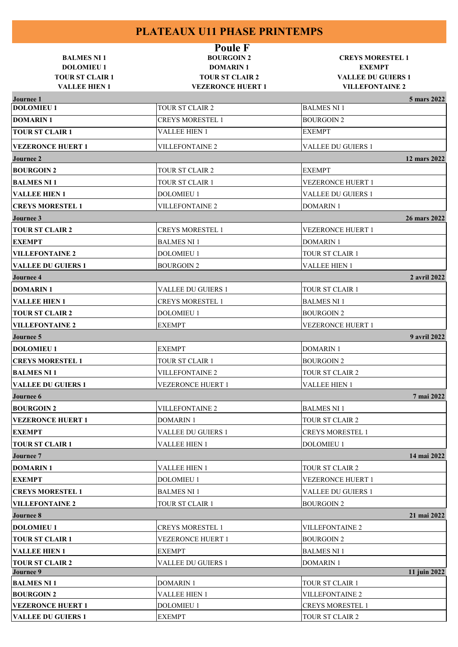| <b>BALMES NI 1</b><br><b>DOLOMIEU1</b>         | <b>Poule F</b><br><b>BOURGOIN 2</b><br><b>DOMARIN1</b> | <b>CREYS MORESTEL 1</b><br><b>EXEMPT</b>            |  |
|------------------------------------------------|--------------------------------------------------------|-----------------------------------------------------|--|
| <b>TOUR ST CLAIR 1</b><br><b>VALLEE HIEN 1</b> | <b>TOUR ST CLAIR 2</b><br><b>VEZERONCE HUERT 1</b>     | <b>VALLEE DU GUIERS 1</b><br><b>VILLEFONTAINE 2</b> |  |
| <b>Journee 1</b>                               |                                                        | 5 mars 2022                                         |  |
| <b>DOLOMIEU1</b>                               | TOUR ST CLAIR 2                                        | <b>BALMES NI1</b>                                   |  |
| <b>DOMARIN1</b>                                | <b>CREYS MORESTEL 1</b>                                | <b>BOURGOIN2</b>                                    |  |
| <b>TOUR ST CLAIR 1</b>                         | <b>VALLEE HIEN 1</b>                                   | <b>EXEMPT</b>                                       |  |
| <b>VEZERONCE HUERT 1</b>                       | <b>VILLEFONTAINE 2</b>                                 | <b>VALLEE DU GUIERS 1</b>                           |  |
| <b>Journee 2</b>                               |                                                        | 12 mars 2022                                        |  |
| <b>BOURGOIN 2</b>                              | <b>TOUR ST CLAIR 2</b>                                 | <b>EXEMPT</b>                                       |  |
| <b>BALMES NI1</b>                              | <b>TOUR ST CLAIR 1</b>                                 | <b>VEZERONCE HUERT 1</b>                            |  |
| <b>VALLEE HIEN 1</b>                           | <b>DOLOMIEU 1</b>                                      | <b>VALLEE DU GUIERS 1</b>                           |  |
| <b>CREYS MORESTEL 1</b>                        | <b>VILLEFONTAINE 2</b>                                 | <b>DOMARIN1</b>                                     |  |
| Journee 3                                      |                                                        | 26 mars 2022                                        |  |
| <b>TOUR ST CLAIR 2</b>                         | <b>CREYS MORESTEL 1</b>                                | <b>VEZERONCE HUERT 1</b>                            |  |
| <b>EXEMPT</b>                                  | <b>BALMES NI1</b>                                      | <b>DOMARIN1</b>                                     |  |
| <b>VILLEFONTAINE 2</b>                         | <b>DOLOMIEU 1</b>                                      | <b>TOUR ST CLAIR 1</b>                              |  |
| <b>VALLEE DU GUIERS 1</b>                      | <b>BOURGOIN2</b>                                       | <b>VALLEE HIEN 1</b>                                |  |
| <b>Journee 4</b>                               |                                                        | 2 avril 2022                                        |  |
| <b>DOMARIN1</b>                                | <b>VALLEE DU GUIERS 1</b>                              | TOUR ST CLAIR 1                                     |  |
| <b>VALLEE HIEN 1</b>                           | <b>CREYS MORESTEL 1</b>                                | <b>BALMES NI 1</b>                                  |  |
| <b>TOUR ST CLAIR 2</b>                         | <b>DOLOMIEU 1</b>                                      | <b>BOURGOIN2</b>                                    |  |
| <b>VILLEFONTAINE 2</b>                         | <b>EXEMPT</b>                                          | <b>VEZERONCE HUERT 1</b>                            |  |
| Journee 5                                      |                                                        | 9 avril 2022                                        |  |
| <b>DOLOMIEU 1</b>                              | <b>EXEMPT</b>                                          | <b>DOMARIN1</b>                                     |  |
| <b>CREYS MORESTEL 1</b>                        | TOUR ST CLAIR 1                                        | <b>BOURGOIN2</b>                                    |  |
| <b>BALMES NI1</b>                              | <b>VILLEFONTAINE 2</b>                                 | <b>TOUR ST CLAIR 2</b>                              |  |
| <b>VALLEE DU GUIERS 1</b>                      | <b>VEZERONCE HUERT 1</b>                               | VALLEE HIEN 1                                       |  |
| <b>Journee 6</b>                               |                                                        | 7 mai 2022                                          |  |
| <b>BOURGOIN 2</b>                              | <b>VILLEFONTAINE 2</b>                                 | <b>BALMES NI1</b>                                   |  |
| <b>VEZERONCE HUERT 1</b>                       | DOMARIN 1                                              | TOUR ST CLAIR 2                                     |  |
| <b>EXEMPT</b>                                  | <b>VALLEE DU GUIERS 1</b>                              | <b>CREYS MORESTEL 1</b>                             |  |
| <b>TOUR ST CLAIR 1</b>                         | <b>VALLEE HIEN 1</b>                                   | <b>DOLOMIEU 1</b>                                   |  |
| <b>Journee 7</b>                               |                                                        | 14 mai 2022                                         |  |
| <b>DOMARIN1</b>                                | <b>VALLEE HIEN 1</b>                                   | <b>TOUR ST CLAIR 2</b>                              |  |
| <b>EXEMPT</b>                                  | <b>DOLOMIEU 1</b>                                      | <b>VEZERONCE HUERT 1</b>                            |  |
| <b>CREYS MORESTEL 1</b>                        | <b>BALMES NI 1</b>                                     | <b>VALLEE DU GUIERS 1</b>                           |  |
| <b>VILLEFONTAINE 2</b>                         | TOUR ST CLAIR 1                                        | <b>BOURGOIN2</b>                                    |  |
| <b>Journee 8</b>                               |                                                        | 21 mai 2022                                         |  |
| <b>DOLOMIEU1</b>                               | <b>CREYS MORESTEL 1</b>                                | <b>VILLEFONTAINE 2</b>                              |  |
| <b>TOUR ST CLAIR 1</b>                         | VEZERONCE HUERT 1                                      | <b>BOURGOIN2</b>                                    |  |
| <b>VALLEE HIEN 1</b>                           | <b>EXEMPT</b>                                          | <b>BALMES NI 1</b>                                  |  |
| <b>TOUR ST CLAIR 2</b>                         | <b>VALLEE DU GUIERS 1</b>                              | <b>DOMARIN1</b>                                     |  |
| Journee 9                                      |                                                        | 11 juin 2022                                        |  |
| <b>BALMES NI1</b>                              | <b>DOMARIN1</b>                                        | <b>TOUR ST CLAIR 1</b>                              |  |
| <b>BOURGOIN 2</b>                              | VALLEE HIEN 1                                          | <b>VILLEFONTAINE 2</b>                              |  |
| <b>VEZERONCE HUERT 1</b>                       | <b>DOLOMIEU 1</b>                                      | <b>CREYS MORESTEL 1</b>                             |  |
| <b>VALLEE DU GUIERS 1</b>                      | <b>EXEMPT</b>                                          | TOUR ST CLAIR 2                                     |  |